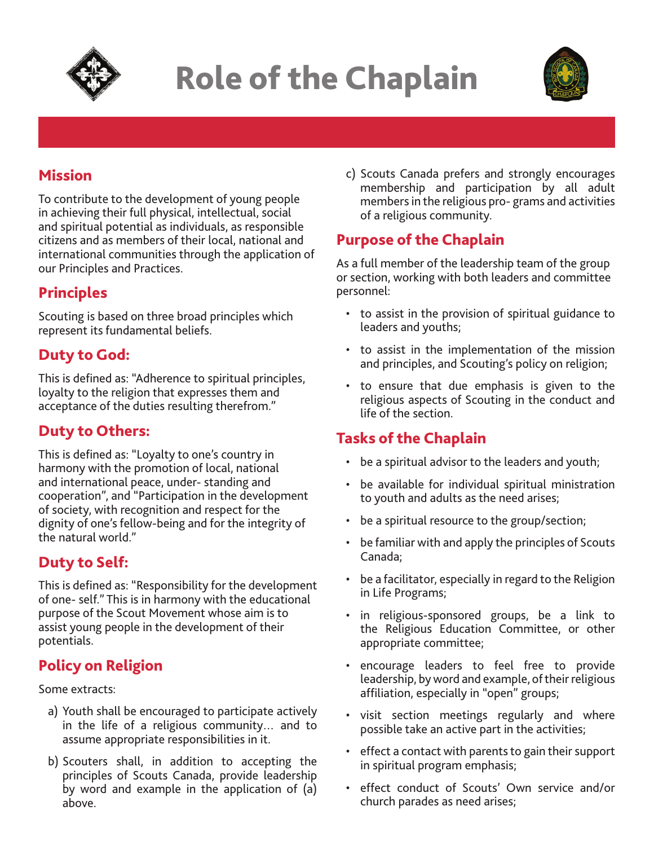

# Role of the Chaplain



# Mission

To contribute to the development of young people in achieving their full physical, intellectual, social and spiritual potential as individuals, as responsible citizens and as members of their local, national and international communities through the application of our Principles and Practices.

#### Principles

Scouting is based on three broad principles which represent its fundamental beliefs.

### Duty to God:

This is defined as: "Adherence to spiritual principles, loyalty to the religion that expresses them and acceptance of the duties resulting therefrom."

#### Duty to Others:

This is defined as: "Loyalty to one's country in harmony with the promotion of local, national and international peace, under- standing and cooperation", and "Participation in the development of society, with recognition and respect for the dignity of one's fellow-being and for the integrity of the natural world."

#### Duty to Self:

This is defined as: "Responsibility for the development of one- self." This is in harmony with the educational purpose of the Scout Movement whose aim is to assist young people in the development of their potentials.

# Policy on Religion

Some extracts:

- a) Youth shall be encouraged to participate actively in the life of a religious community… and to assume appropriate responsibilities in it.
- b) Scouters shall, in addition to accepting the principles of Scouts Canada, provide leadership by word and example in the application of (a) above.

c) Scouts Canada prefers and strongly encourages membership and participation by all adult members in the religious pro- grams and activities of a religious community.

### Purpose of the Chaplain

As a full member of the leadership team of the group or section, working with both leaders and committee personnel:

- to assist in the provision of spiritual guidance to leaders and youths;
- to assist in the implementation of the mission and principles, and Scouting's policy on religion;
- to ensure that due emphasis is given to the religious aspects of Scouting in the conduct and life of the section.

#### Tasks of the Chaplain

- be a spiritual advisor to the leaders and youth;
- be available for individual spiritual ministration to youth and adults as the need arises;
- be a spiritual resource to the group/section;
- be familiar with and apply the principles of Scouts Canada;
- be a facilitator, especially in regard to the Religion in Life Programs;
- in religious-sponsored groups, be a link to the Religious Education Committee, or other appropriate committee;
- encourage leaders to feel free to provide leadership, by word and example, of their religious affiliation, especially in "open" groups;
- visit section meetings regularly and where possible take an active part in the activities;
- effect a contact with parents to gain their support in spiritual program emphasis;
- effect conduct of Scouts' Own service and/or church parades as need arises;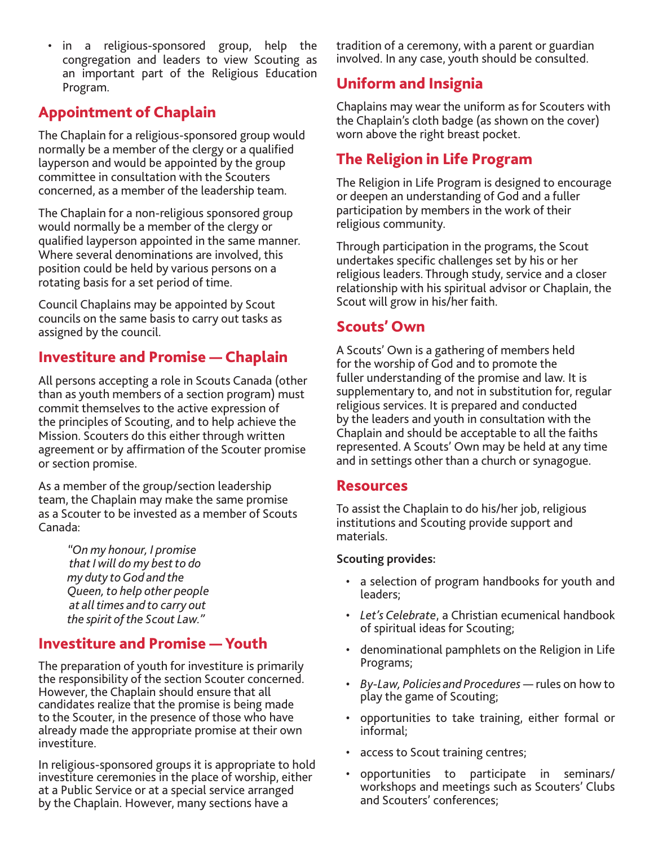• in a religious-sponsored group, help the congregation and leaders to view Scouting as an important part of the Religious Education Program.

# Appointment of Chaplain

The Chaplain for a religious-sponsored group would normally be a member of the clergy or a qualified layperson and would be appointed by the group committee in consultation with the Scouters concerned, as a member of the leadership team.

The Chaplain for a non-religious sponsored group would normally be a member of the clergy or qualified layperson appointed in the same manner. Where several denominations are involved, this position could be held by various persons on a rotating basis for a set period of time.

Council Chaplains may be appointed by Scout councils on the same basis to carry out tasks as assigned by the council.

### Investiture and Promise — Chaplain

All persons accepting a role in Scouts Canada (other than as youth members of a section program) must commit themselves to the active expression of the principles of Scouting, and to help achieve the Mission. Scouters do this either through written agreement or by affirmation of the Scouter promise or section promise.

As a member of the group/section leadership team, the Chaplain may make the same promise as a Scouter to be invested as a member of Scouts Canada:

> *"On my honour, I promise that I will do my best to do my duty to God and the Queen, to help other people at all times and to carry out the spirit of the Scout Law."*

#### Investiture and Promise — Youth

The preparation of youth for investiture is primarily the responsibility of the section Scouter concerned. However, the Chaplain should ensure that all candidates realize that the promise is being made to the Scouter, in the presence of those who have already made the appropriate promise at their own investiture.

In religious-sponsored groups it is appropriate to hold investiture ceremonies in the place of worship, either at a Public Service or at a special service arranged by the Chaplain. However, many sections have a

tradition of a ceremony, with a parent or guardian involved. In any case, youth should be consulted.

# Uniform and Insignia

Chaplains may wear the uniform as for Scouters with the Chaplain's cloth badge (as shown on the cover) worn above the right breast pocket.

# The Religion in Life Program

The Religion in Life Program is designed to encourage or deepen an understanding of God and a fuller participation by members in the work of their religious community.

Through participation in the programs, the Scout undertakes specific challenges set by his or her religious leaders. Through study, service and a closer relationship with his spiritual advisor or Chaplain, the Scout will grow in his/her faith.

#### Scouts' Own

A Scouts' Own is a gathering of members held for the worship of God and to promote the fuller understanding of the promise and law. It is supplementary to, and not in substitution for, regular religious services. It is prepared and conducted by the leaders and youth in consultation with the Chaplain and should be acceptable to all the faiths represented. A Scouts' Own may be held at any time and in settings other than a church or synagogue.

#### Resources

To assist the Chaplain to do his/her job, religious institutions and Scouting provide support and materials.

#### **Scouting provides:**

- a selection of program handbooks for youth and leaders;
- *Let's Celebrate*, a Christian ecumenical handbook of spiritual ideas for Scouting;
- denominational pamphlets on the Religion in Life Programs;
- *By-Law, Policies and Procedures* rules on how to play the game of Scouting;
- opportunities to take training, either formal or informal;
- access to Scout training centres;
- opportunities to participate in seminars/ workshops and meetings such as Scouters' Clubs and Scouters' conferences;